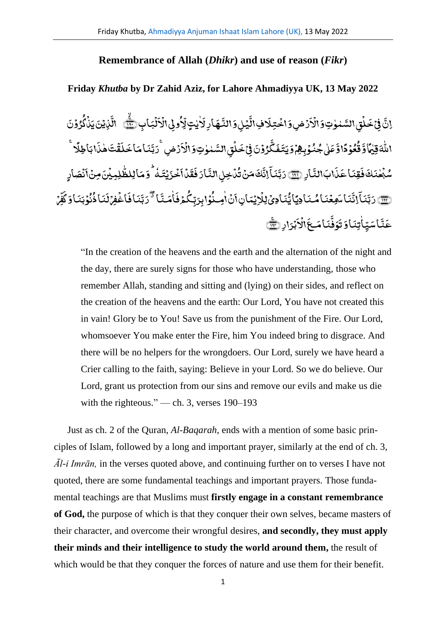## **Remembrance of Allah (***Dhikr***) and use of reason (***Fikr***)**

## **Friday** *Khutba* **by Dr Zahid Aziz, for Lahore Ahmadiyya UK, 13 May 2022**

ِب﴿ ا َّ ب ل .<br>ء َّ ا ِیال ول .<br>ء ُ ِهِ .<br>س .<br>دىيتٍ ٰ ٰ .<br>بر ِ<br>هارِأ ِ<br>يُلِوَالذَّ **أ** ِ<br>بة .<br>دفي ال َّ رُضِ**وَاخْتِ**لَ .<br>, **ٔ** َّ لُقِ\السَّمٰوٰتِ\$َالَاَ ់<br>ទ ٰ <u>់</u> َّ ف<br>پانچ .<br>, ف إِنَّ فِيَ خَلْقِ السَّبْوٰتِ وَالْأَرْضِ وَاخْتِلَافِ!لَّيۡيٰ وَالنَّبِهَارِ لَأٰنِيَّ لِّأُوۡوَىٰ الۡأَلۡبَابِ ﷺ الَّذِيۡنَ يَذۡلُوُوۡنَ .<br>, ُ ِّ<br>نَایۡنَ یَنۡاُ **ّ** ؚ<br>ۣ ِ<br>بَهَ ءِ<br>الله الأ رُضِ .<br>ء َّ لُقِ\لسَّمٰوٰتِ\$َالُاَ .<br>, ٰ **ٔ** َّ خ ِی َّ ن و ُ ر .<br>ء ف .<br>, َّ ڴ َّ ِ<br>عَلٰی جُنُوۡوِبِهِمۡوَیتَـفَ **ٔ** <u>َ</u> ٰ ل و<br>مُوَدًّا وُّ **أ** ُ ق َّ او ً م ٰ ِقی َّ ہ ٰ į اللَّهَ قِيْمًا وَّقُعُوۡ دًا وَّعَلٰى جُنُوۡ بِـهُمۡوَ بَيۡتَـفَكَّرُوۡنَ فِيۡ حَـلَٰٓقَ السَّبِلِاتِ وَالۡاَرۡضِ ۚ رَبَّنَـا مَا خَلَقۡتَ هٰذَا بَاطِلًا ۖ ً ا بَاطِلًا َّ ِ<br>تَقْتَ هٰذَ ٰ ؚ<br>ۣ َّ ل َّ اخ َّ ام َّ ن ر<br>رَڊ اِر﴿ ِ<br>ابَاٽَ َّ ذ َّ ِ<br>قِنَاءَ َّ ف َّ شَّهُنكَ فَقِنَا عَذَابَ النَّارِ (<del>Ja</del> ٰ **أ** ِ<br>نْدَخِلِ!لنَّہَ .<br>ء ُ ي<br>تَّاهَنَّ رُّ ک َّ اِنَّ ِ<br>پ ا َّ ن رَبَّنَاۤ إِنَّكَ مَنۡ تُٰدۡخِلِ النَّارَ فَقَدۡاَخۡوَيۡتَـٰٰٓهُ ۚ وَمَاۤ لِلظَّٰلِمِيۡنَ مِنۡ اَنۡصَارِ .<br>و َّ ِ<br>لِمِیڈِنَ مِنۡ} .<br>, ٰ ľ ِ<br>خَزَيۡتَـٰٰٓهُ ۚ وَمَالِلظَّ ٗ **ّ** .<br>ء َّ نماً .<br>ء َّ ق َّ ف َّ ار ﴿ ۗ ۚ ۚ إِنَّ إِنَّنَا مَعِعۡنَا مُنَادِيَاۚ يُّنَادِيۡ لِلۡاِيۡمَانِٲنَا ٰوِـنُوۡابِرَبِّكُمۡفَاٰمَنَّا ۚ دَبَّنَافَاغُفِرۡ .<br>م .<br>, َّ ِ<br>نَمَافَ ے<br>با<sup>تی</sup> رَبَّ ِ<br>مَتَتَّ ٰ َّ ،<br>كمۇف ِک ب ِرَّ اب و .<br>, ُ ِمن ا ن ٰ **ٔ** َّ ِ<br>بَنَادِیۡلِلۡاِیۡمَانِ}َ **أ** ؚ<br>ۣ بِعۡنَامُـنَادِيَايُّ <u>ّ</u> َّ ِ<br>نَمَا <sub>سَ</sub>وِ َّ اڻُ  $\overline{a}$ ا َّ ن دَبَّنَاۤ اِنَّنَاۤ سَهِعۡنَاۤ مُنَادِيَّاۤ يُّنَادِيۡ لِلۡرِيۡمَانِٲنۡ اٰصِنُوۡا بِرَبّكُمۡ فَاٰمَنَّاۤ ۚ دَبَّنَاۚ فَاغۡفِرۡكَنَا ذُنُوۡبَنَاۚ وَكُفِّرۡ .<br>م .<br>س ف َّ ِ<br>وَبَنَاوَكَ .<br>م ُ ن ُ ِ<br>نَمَاذُ َّ ل ِ<br>نم َّ رٌ<br>وُفُّ َّ ِ<br>اَسَپِّاٰتِنَاوَتَ ٰ ت<br>نم َّ عَنَّاسَيّاٰتِنَاوَتَوَفَّنَامَـعَ الْأَبْرَارِ ﴿ <u>់</u> َّ ا ال **أ** َّ ا**مَ**عَ الْإِيَّةِ إِدْ الثَّقَ

"In the creation of the heavens and the earth and the alternation of the night and the day, there are surely signs for those who have understanding, those who remember Allah, standing and sitting and (lying) on their sides, and reflect on the creation of the heavens and the earth: Our Lord, You have not created this in vain! Glory be to You! Save us from the punishment of the Fire. Our Lord, whomsoever You make enter the Fire, him You indeed bring to disgrace. And there will be no helpers for the wrongdoers. Our Lord, surely we have heard a Crier calling to the faith, saying: Believe in your Lord. So we do believe. Our Lord, grant us protection from our sins and remove our evils and make us die with the righteous." — ch. 3, verses 190–193

Just as ch. 2 of the Quran, *Al-Baqarah,* ends with a mention of some basic principles of Islam, followed by a long and important prayer, similarly at the end of ch. 3, *Āl-i Imrān,* in the verses quoted above, and continuing further on to verses I have not quoted, there are some fundamental teachings and important prayers. Those fundamental teachings are that Muslims must **firstly engage in a constant remembrance of God,** the purpose of which is that they conquer their own selves, became masters of their character, and overcome their wrongful desires, **and secondly, they must apply their minds and their intelligence to study the world around them,** the result of which would be that they conquer the forces of nature and use them for their benefit.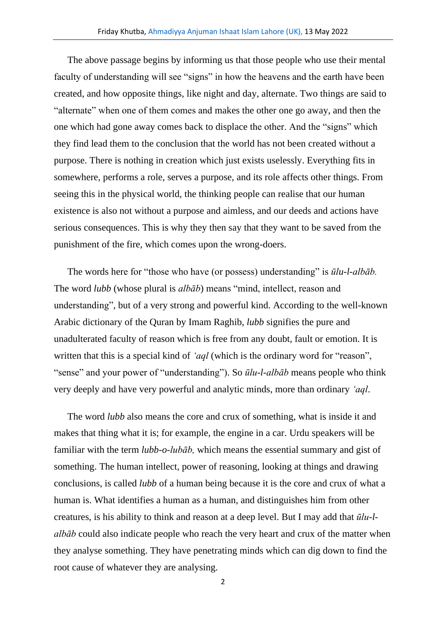The above passage begins by informing us that those people who use their mental faculty of understanding will see "signs" in how the heavens and the earth have been created, and how opposite things, like night and day, alternate. Two things are said to "alternate" when one of them comes and makes the other one go away, and then the one which had gone away comes back to displace the other. And the "signs" which they find lead them to the conclusion that the world has not been created without a purpose. There is nothing in creation which just exists uselessly. Everything fits in somewhere, performs a role, serves a purpose, and its role affects other things. From seeing this in the physical world, the thinking people can realise that our human existence is also not without a purpose and aimless, and our deeds and actions have serious consequences. This is why they then say that they want to be saved from the punishment of the fire, which comes upon the wrong-doers.

The words here for "those who have (or possess) understanding" is *ūlu-l-albāb.* The word *lubb* (whose plural is *albāb*) means "mind, intellect, reason and understanding", but of a very strong and powerful kind. According to the well-known Arabic dictionary of the Quran by Imam Raghib, *lubb* signifies the pure and unadulterated faculty of reason which is free from any doubt, fault or emotion. It is written that this is a special kind of *'aql* (which is the ordinary word for "reason", "sense" and your power of "understanding"). So *ūlu-l-albāb* means people who think very deeply and have very powerful and analytic minds, more than ordinary *'aql*.

The word *lubb* also means the core and crux of something, what is inside it and makes that thing what it is; for example, the engine in a car. Urdu speakers will be familiar with the term *lubb-o-lubāb,* which means the essential summary and gist of something. The human intellect, power of reasoning, looking at things and drawing conclusions, is called *lubb* of a human being because it is the core and crux of what a human is. What identifies a human as a human, and distinguishes him from other creatures, is his ability to think and reason at a deep level. But I may add that *ūlu-lalbāb* could also indicate people who reach the very heart and crux of the matter when they analyse something. They have penetrating minds which can dig down to find the root cause of whatever they are analysing.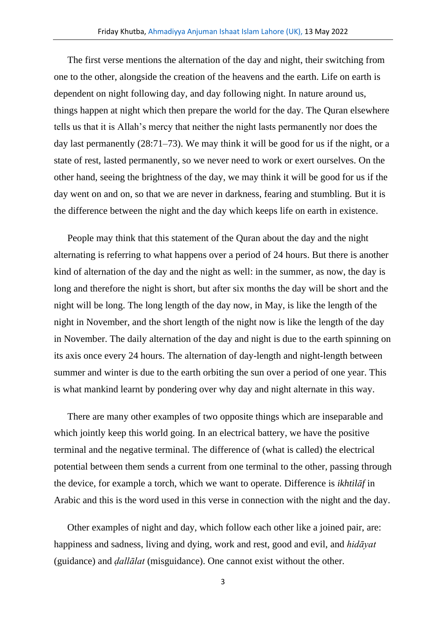The first verse mentions the alternation of the day and night, their switching from one to the other, alongside the creation of the heavens and the earth. Life on earth is dependent on night following day, and day following night. In nature around us, things happen at night which then prepare the world for the day. The Quran elsewhere tells us that it is Allah's mercy that neither the night lasts permanently nor does the day last permanently (28:71–73). We may think it will be good for us if the night, or a state of rest, lasted permanently, so we never need to work or exert ourselves. On the other hand, seeing the brightness of the day, we may think it will be good for us if the day went on and on, so that we are never in darkness, fearing and stumbling. But it is the difference between the night and the day which keeps life on earth in existence.

People may think that this statement of the Quran about the day and the night alternating is referring to what happens over a period of 24 hours. But there is another kind of alternation of the day and the night as well: in the summer, as now, the day is long and therefore the night is short, but after six months the day will be short and the night will be long. The long length of the day now, in May, is like the length of the night in November, and the short length of the night now is like the length of the day in November. The daily alternation of the day and night is due to the earth spinning on its axis once every 24 hours. The alternation of day-length and night-length between summer and winter is due to the earth orbiting the sun over a period of one year. This is what mankind learnt by pondering over why day and night alternate in this way.

There are many other examples of two opposite things which are inseparable and which jointly keep this world going. In an electrical battery, we have the positive terminal and the negative terminal. The difference of (what is called) the electrical potential between them sends a current from one terminal to the other, passing through the device, for example a torch, which we want to operate. Difference is *ikhtilāf* in Arabic and this is the word used in this verse in connection with the night and the day.

Other examples of night and day, which follow each other like a joined pair, are: happiness and sadness, living and dying, work and rest, good and evil, and *hidāyat* (guidance) and *ḍallālat* (misguidance). One cannot exist without the other.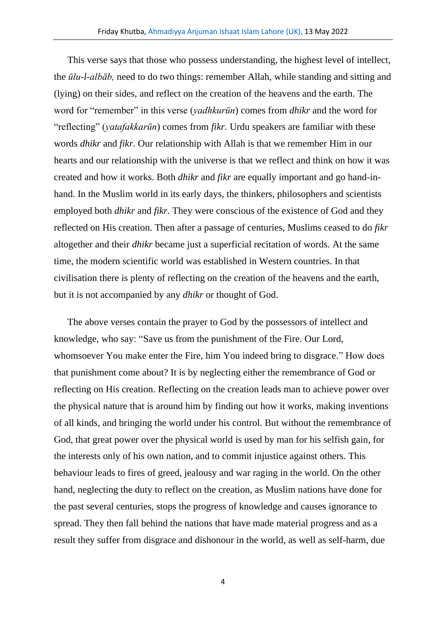This verse says that those who possess understanding, the highest level of intellect, the *ūlu-l-albāb,* need to do two things: remember Allah, while standing and sitting and (lying) on their sides, and reflect on the creation of the heavens and the earth. The word for "remember" in this verse (*yadhkurūn*) comes from *dhikr* and the word for "reflecting" (*yatafakkarūn*) comes from *fikr.* Urdu speakers are familiar with these words *dhikr* and *fikr.* Our relationship with Allah is that we remember Him in our hearts and our relationship with the universe is that we reflect and think on how it was created and how it works. Both *dhikr* and *fikr* are equally important and go hand-inhand. In the Muslim world in its early days, the thinkers, philosophers and scientists employed both *dhikr* and *fikr.* They were conscious of the existence of God and they reflected on His creation. Then after a passage of centuries, Muslims ceased to do *fikr* altogether and their *dhikr* became just a superficial recitation of words. At the same time, the modern scientific world was established in Western countries. In that civilisation there is plenty of reflecting on the creation of the heavens and the earth, but it is not accompanied by any *dhikr* or thought of God.

The above verses contain the prayer to God by the possessors of intellect and knowledge, who say: "Save us from the punishment of the Fire. Our Lord, whomsoever You make enter the Fire, him You indeed bring to disgrace." How does that punishment come about? It is by neglecting either the remembrance of God or reflecting on His creation. Reflecting on the creation leads man to achieve power over the physical nature that is around him by finding out how it works, making inventions of all kinds, and bringing the world under his control. But without the remembrance of God, that great power over the physical world is used by man for his selfish gain, for the interests only of his own nation, and to commit injustice against others. This behaviour leads to fires of greed, jealousy and war raging in the world. On the other hand, neglecting the duty to reflect on the creation, as Muslim nations have done for the past several centuries, stops the progress of knowledge and causes ignorance to spread. They then fall behind the nations that have made material progress and as a result they suffer from disgrace and dishonour in the world, as well as self-harm, due